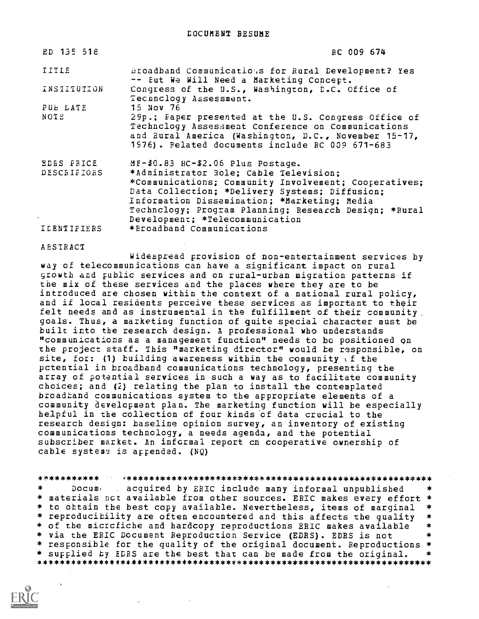| ED 135 518         | RC 009 674                                                                                                                                                                                                                                          |
|--------------------|-----------------------------------------------------------------------------------------------------------------------------------------------------------------------------------------------------------------------------------------------------|
| TITLE              | Broadband Communicatious for Rural Development? Yes<br>-- Eut We Will Need a Marketing Concept.                                                                                                                                                     |
| INSIITUTION        | Congress of the U.S., Washington, D.C. Office of<br>Technology Assessment.                                                                                                                                                                          |
| PUE DATE           | <b>15 Nov 76</b>                                                                                                                                                                                                                                    |
| NOTE               | 29p.; Faper presented at the U.S. Congress Office of<br>Technclogy Assessment Conference on Communications<br>and Rural America (Washington, D.C., November 15-17,<br>1976). Pelated documents include RC 009 671-683                               |
| <b>EDES PRICE</b>  | MF-\$0.83 HC-\$2.06 Plus Postage.                                                                                                                                                                                                                   |
| DESCRIPIORS        | *Administrator Role; Cable Television;                                                                                                                                                                                                              |
|                    | *Communications; Community Involvement; Cooperatives;<br>Data Collection; *Delivery Systems; Diffusion;<br>Information Dissemination; *Marketing; Media<br>Technclogy; Program Planning; Research Design; *Rural<br>Development; *Telecommunication |
| <b>ICENTIFIERS</b> | *Broadband Communications                                                                                                                                                                                                                           |

#### ABSTRACT

Widespread provision of non-entertainment services by way of telecommunications can have a significant impact on rural growth and public services and on rural-urban migration patterns if the mix of these services and the places where they are to be introduced are chosen within the context of a national rural policy, and if local residents perceive these services as important to their felt needs and as instrumental in the fulfillment of their community. goals. Thus, a marketing function of quite special character must be built into the research design. A professional who understands "communications as a management function" needs to be positioned qn the project staff. This "marketing director" would be responsible, on site, for: (1) building awareness within the community  $\epsilon$  the pctential in broadband communications technology, presenting the array of potential services in such a way as to facilitate community choices; and (2) relating the plan to install the contemplated broadband communications system to the appropriate elements of a community development plan. The marketing function will be especially helpful in the collection of four kinds of data crucial to the research design: baseline opinion survey, an inventory of existing communications technology, a needs agenda, and the potential subscriber market. An informal report cn cooperative ownership of cable system: is appended. (NQ)

Docum, acquired by ERIC include many informal unpublished  $\ast$ \* materials not available from other sources. ERIC makes every effort \* \* to obtain the best copy available. Nevertheless, items of marginal \* \* reproducibility are often encountered and this affects the quality \* \* of the micrcfiche and hardcopy reproductions ERIC makes available \* \* via the ERIC Document Reproduction Service (EDRS). EDRS is not \* responsible for the quality of the original document. Reproductions \* \* supplied by EDRS are the best that can be made from the original. \*\*\*\*\*\*\*\*\*\*\*\*\*\*\*\*\*\*\*\*\*\*\*\*\*\*\*\*\*\*\*\*\*\*\*\*\*\*\*\*\*\*\*\*\*\*\*\*\*\*\*\*\*\*\*\*\*\*\*\*\*\*\*\*\*\*\*\*\*\*\*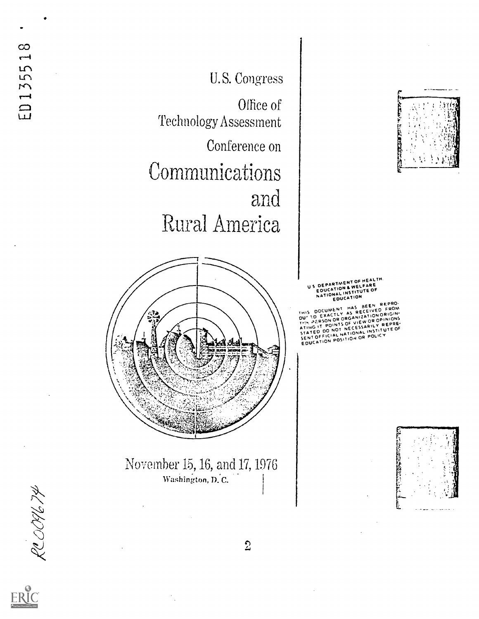U. S. Congress

Office of Technology.Assessment

Conference on Communications and Rural America



November 15, 16, and 17, 1976 Washington, D.C.



US DEPARTMENT OF HEALTH.<br>US DEPARTMENT OF WELFARE EDUCATION & WELFARE EDUCATION NATIONAL INSTITUTE OF EDUCATION

THIS DOCUMENT HAS BEEN REPRO-DOCUMENT HAS RECEIVED FROM<br>SD EXACTLY AS RECEIVED FOUND T.:: AT ON OR ORGANIZATIONS<br>EXERCIT POINTS OF VIEW OR OPINIONS<br>ATING IT POINTS OF CESSARILY REPRE-<br>STATED DO NOT NETIONAL INSTITUTE OF STATED DO NOT NELESSITUTE OF<br>STATED DO NOT NATIONAL INSTITUTE<br>SENT OFFICI ROSITION OR POLICY SENT OFFICIAL WITION OR POLICY





 $\overline{2}$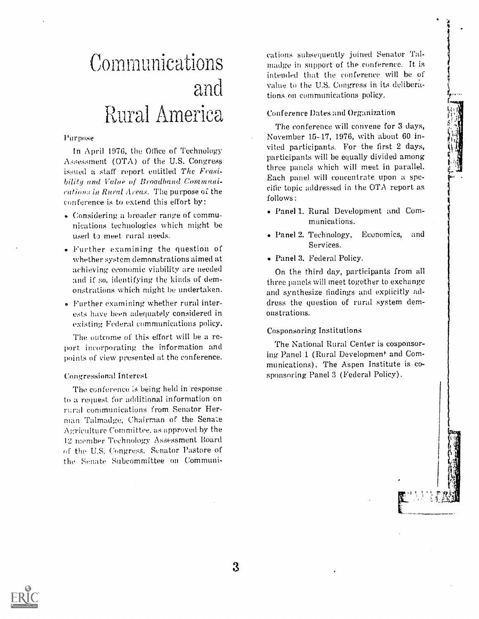,,!.:" ,

# Communications and Rural America

#### Purpose

In April 1976, the Office of Technology  $\Lambda$ ssessment (OTA) of the U.S. Congress issued a staff report entitled The Feasibility and Vallee of Broadband Commanications in Rural Areas. The purpose of the conference is to extend this effort by:

- Considering a broader range of communications technologies which might be used to meet rural needs.
- Further examining the question of whether system demonstrations aimed at achieving economic viability are needed and if so, identifying the kinds of demonstrations which might be undertaken.
- <sup>o</sup> Further examining whether rural interests have been adequately considered in existing Federal communications policy.

The outcome of this effort will be a report incorporating the information and points of view presented at the conference.

#### Congressional Interest

The conference is being held in response. to a request for additional information on raral communications from Senator Herman Talmadge, Chairman of the Senate Agriculture Committee, as approved by the 12 member Technology Assessment Board of the U.S. Congress. Senator Pastore of the Senate Subcommittee on Communications subsequently joined Senator Talmadge in support of the conference. It is intended that the conference will be of value to the U.S. Congress in its deliberations on communications policy.

## Conference Dates and Organization

The conference will convene for 3 days, November 15-17, 1976, with about 60 invited participants, For the first 2 days, participants will be equally divided among three panels which will meet in parallel. Each panel will concentrate upon a specific topic addressed in the OTA report as follows:

- Panel 1. Rural Development and Communications.
- Panel 2. Technology, Economics, and Services.
- Panel 3. Federal Policy.

On the third day, participants from all three panels will meet together to exchange and synthesize findings and explicitly address the question of rural system demonstrations.

## Cosponsoring Institutions

The National Rural Center is cosponsoring Panel 1 (Rural Development and Communications). The Aspen Institute is cosponsoring Panel 3 (Federal Policy).

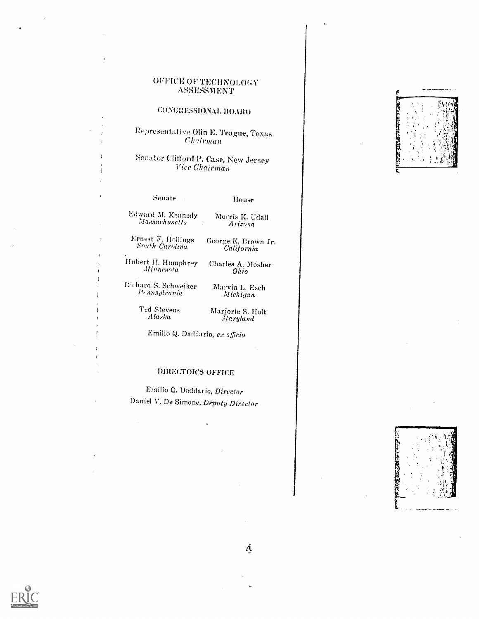## OFFICE OF TECHNOLOGY ASSESSMENT

## CONGRESSIONAL BOARD

Representative Olin E. Teague, Texas  $Chairman$ 

Senator Clifford P. Case, New Jersey Vice Chairman

 $\overline{1}$ 

Senate . House

Edward M. Kennedy Morris K. Udall Masarhusetts Arizona

Ernest F. Efollings So:ith Carolina George E. Brown Jr. California

Hubert H. Humphray Charles A. Mosher<br>Minnesota Ohio Minnesota<sup>'</sup>

 ${\rm Richard} \ {\rm S.}$  Schweiker ${\rm M_{\rm R}}$ Pcnnsylrania

Marvin L. Esch Michigan

Ted Stevens Alaska

Marjorie S. Holt Maryland

Emilio Q. Daddario, ex officio

## DIRECTOR'S OFFICE

Emilio Q. Daddario, Director Daniel V. De Simone, Deputy Director

| ٦            |  |
|--------------|--|
| i<br>Sa<br>э |  |
|              |  |
|              |  |
|              |  |





A.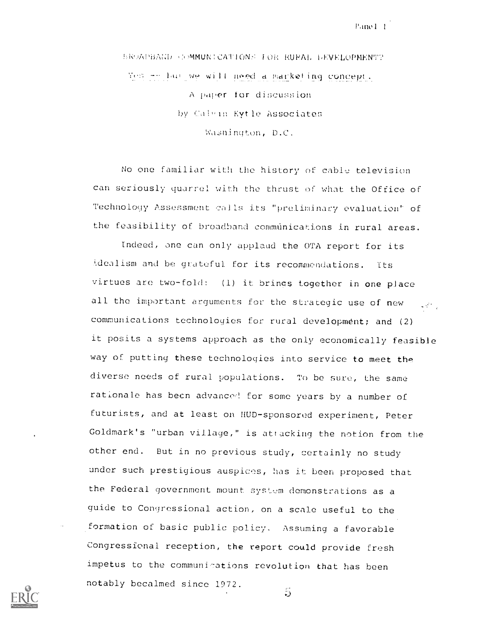Pane 1-1

!k,.!1%PiiA,;1) ,HMMUN:CATlONH VOk !WM!, l4NKLOPMENT? Yes my but we will need a marketing concept. A paper tor discussion by Calvin Kytle Associates Washington, D.C.

No one familiar with the history of cable television can seriously quarrel with the thrust of what the Office of Technology Assessment calls its "preliminary evaluation' of the feasibility of broadband communications in rural areas.

Indeed, one can only applaud the OTA report for its idealism and be grateful for its recommendations. Its virtues are two-fold: (1) it brings together in one place all the important arguments for the strategic use of new  $\mathbb{L}_{\mathbb{Z}^n}$ communications technologies for rural development; and (2) it posits a systems approach as the only economically feasible way of putting these technologies into service to meet the diverse needs of rural populations. To be sure, the same rationale has been advanced for some years by a number of futurists, and at least on HUD-sponsored experiment, Peter Goldmark's "urban village," is attacking the notion from the other end. But in no previous study, certainly no study under such prestigious auspices, has it been proposed that the Federal government mount system demonstrations as a guide to Congressional action, on a scale useful to the formation of basic public policy. Assuming a favorable Congressional reception, the report could provide fresh impetus to the communications revolution that has been notably becalmed since 1972.5

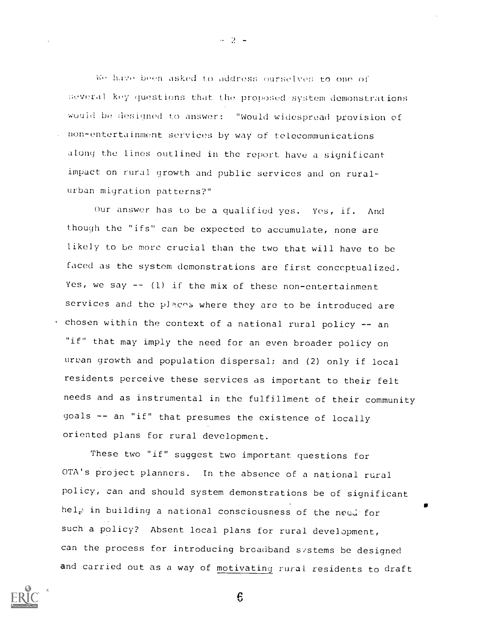have been asked to address ourselves to one of several key questions that the proposed system demonstrations would be designed to answer: "Would widespread provision of non-entertainment services by way of telecommunications along the lines outlined in the report have a significant impact on rural growth and public services and on ruralurban migration patterns?"

Our answer has to be a qualified yes. Yes, if. And though the "ifs" can be expected to accumulate, none are likely to be more crucial than the two that will have to be faced as the system demonstrations are first conceptualized. Yes, we say  $--$  (1) if the mix of these non-entertainment services and the places where they are to be introduced are . chosen within the context of a national rural policy -- an "if" that may imply the need for an even broader policy on urban growth and population dispersal; and (2) only if local residents perceive these services as important to their felt needs and as instrumental in the fulfillment of their community goals -- an "if" that presumes the existence of locally oriented plans for rural development.

These two "if" suggest two important questions for OTA's project planners. In the absence of a national rural policy, can and should system demonstrations be of significant help in building a national consciousness of the need for such a policy? Absent local plans for rural development, can the process for introducing broadband svstems be designed and carried out as a way of motivating rural residents to draft

 $\boldsymbol{\mathsf{S}}$ 



 $\sim$  2  $-$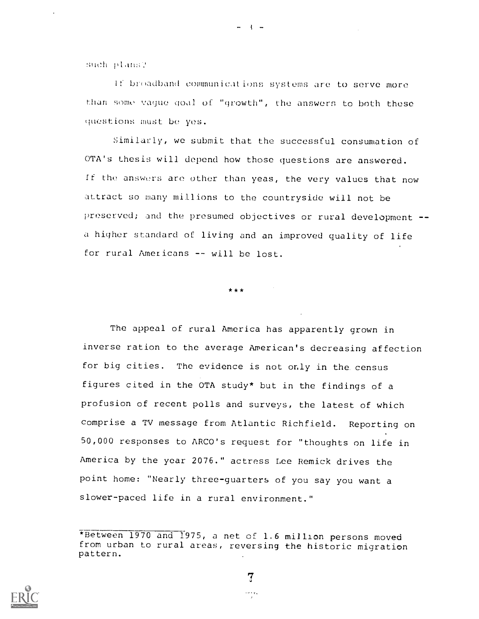such plans?

If broadband communications systems are to serve more than some vague goal of "growth", the answers to both these questions must be yes.

Similarly, we submit that the successful consumation of OTA's thesis will depend how those questions are answered. If the answers are other than yeas, the very values that now attract so many millions to the countryside will not be preserved; and the presumed objectives or rural development - a higher standard of living and an improved quality of life for rural Americans -- will be lost.

\* \* \*

The appeal of rural America has apparently grown in inverse ration to the average American's decreasing affection for big cities. The evidence is not only in the. census figures cited in the OTA study\* but in the findings of a profusion of recent polls and surveys, the latest of which comprise a TV message from Atlantic Richfield. Reporting on 50,000 responses to ARCO's request for "thoughts on life in America by the year 2076." actress Lee Remick drives the point home: "Nearly three-guarters of you say you want a slower-paced life in a rural environment."

7



 $- 3 -$ 

<sup>\*</sup>Between 1970 and 1975, a net of 1.6 million persons moved from urban to rural areas, reversing the historic migration pattern.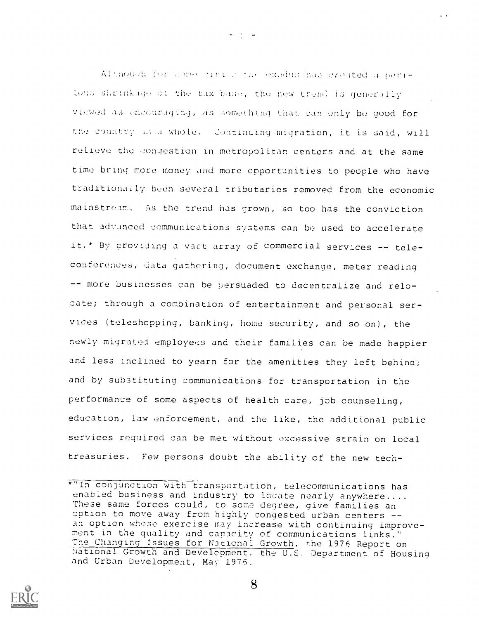Although for Some times a the exodus has created a cerihous shrink ope of the tax base, the new trend is generally viewed as encouraging, as something that can only be good for the country as a whole. Continuing migration, it is said, will relieve the congestion in metropolitan centers and at the same time bring more money and more opportunities to people who have traditionally been several tributaries removed from the economic mainstream. As the trend has grown, so too has the conviction that advanced communications systems can be used to accelerate it.\* By providing a vast array of commercial services -- teleconferences, data gathering, document exchange, meter reading -- more businesses can be persuaded to decentralize and relocate; through a combination of entertainment and personal services (teleshopping, banking, home security, and so on), the newly migrated employees and their families can be made happier and less inclined to yearn for the amenities they left behind; and by substituting communications for transportation in the performance of some aspects of health care, job counseling, education, law enforcement, and the like, the additional public services required can be met without excessive strain on local treasuries. Few persons doubt the ability of the new tech-



 $\frac{1}{2}$  ,  $\frac{1}{2}$  ,  $\frac{1}{2}$  ,  $\frac{1}{2}$ 

<sup>\*&</sup>quot;In conjunction with transportation, telecommunications has enabled business and industry to locate nearly anywhere.... These same forces could, to some degree, give families an option to move away from highly congested urban centers an option whose exercise may increase with continuing improvement in the quality and capacity of communications links." The Changing Issues for National Growth, the 1976 Report on National Growth and Development, the U.S. Department of Housing and Urban Development, May 1976.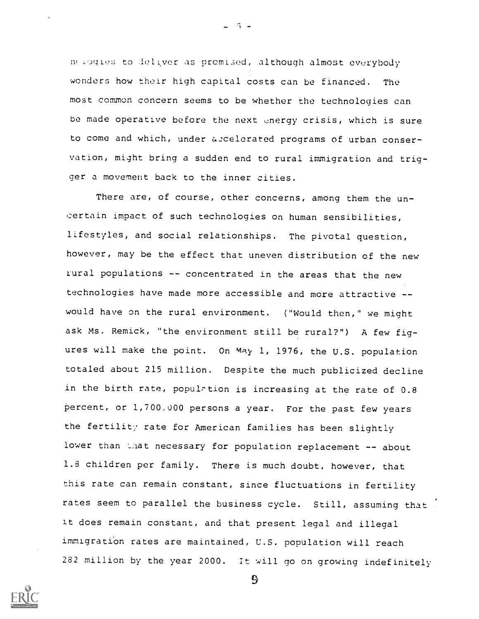melogies to deliver as premised, although almost everybody wonders how their high capital costs can be financed. The most common concern seems to be whether the technologies can be made operative before the next energy crisis, which is sure to come and which, under accelerated programs of urban conservation, might bring a sudden end to rural immigration and trigger a movement back to the inner cities.

 $5 -$ 

There are, of course, other concerns, among them the uncertain impact of such technologies on human sensibilities, lifestyles, and social relationships. The pivotal question, however, may be the effect that uneven distribution of the new rural populations -- concentrated in the areas that the new technologies have made more accessible and more attractive - would have on the rural environment. ("Would then," we might ask Ms. Remick, "the environment still be rural?") A few figures will make the point. On May 1, 1976, the U.S. population totaled about 215 million. Despite the much publicized decline in the birth rate, population is increasing at the rate of  $0.8$ percent, or 1,700.000 persons a year. For the past few years the fertility rate for American families has been slightly lower than that necessary for population replacement -- about 1.8 children per family. There is much doubt, however, that this rate can remain constant, since fluctuations in fertility rates seem to parallel the business cycle. Still, assuming that it does remain constant, and that present legal and illegal immigration rates are maintained, U.S. population will reach 282 million by the year 2000. It will go on growing indefinitely



 $\mathfrak{S}$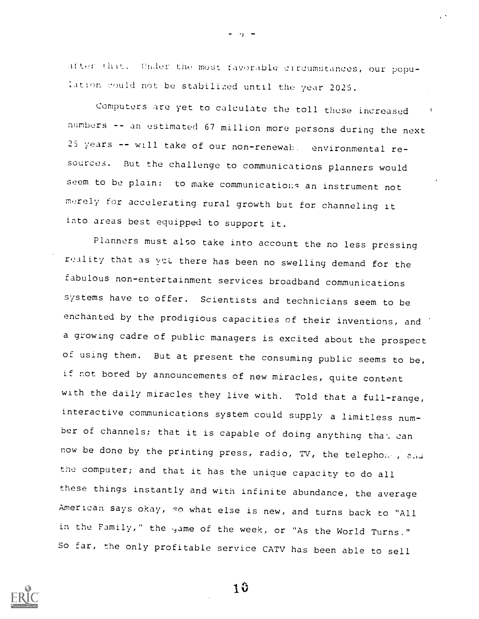after that. Under the most favorable circumstances, our population could not be stabilized until the year 2025.

Computers are yet to calculate the toll these increased numbers -- an estimated 67 million more persons during the next 25 years -- will take of our non-renewah. environmental resources. But the challenge to communications planners would seem to be plain: to make communications an instrument not merely for accelerating rural growth but for channeling it into areas best equipped to support it.

Planners must also take into account the no less pressing reality that as yet there has been no swelling demand for the fabulous non-entertainment services broadband communications systems have to offer. Scientists and technicians seem to be enchanted by the prodigious capacities of their inventions, and a growing cadre of public managers is excited about the prospect of using them. But at present the consuming public seems to be, if not bored by announcements of new miracles, quite content with the daily miracles they live with. Told that a full-range, interactive communications system could supply a limitless number of channels; that it is capable of doing anything that can now be done by the printing press, radio, TV, the telephone, and the computer; and that it has the unique capacity to do all these things instantly and with infinite abundance, the average American says okay, so what else is new, and turns back to "All in the Family," the yame of the week, or "As the World Turns." So far, the only profitable service CATV has been able to sell

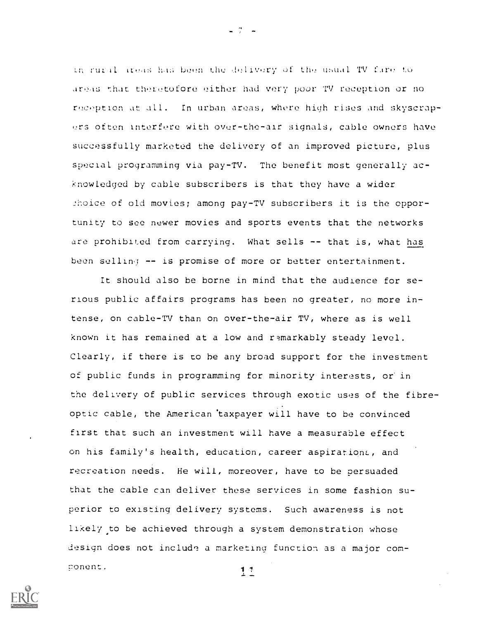in rugal areas has been the delivery of the usual TV fare to areas r.hat theretofore either had very poor TV reception or no reception at all. In urban areas, whore high rises and skyscrapers often interfere with over-the-air signals, cable owners have successfully marketed the delivery of an improved picture, plus special programming via pay-TV. The benefit most generally acknowledged by cable subscribers is that they have a wider 2hoice of old movies; among pay-TV subscribers it is the opportunity to see newer movies and sports events that the networks are prohibited from carrying. What sells -- that is, what has been selling -- is promise of more or better entertainment.

It should also be borne in mind that the audience for serious public affairs programs has been no greater, no more intense, on cable-TV than on over-the-air TV, where as is well known it has remained at a low and remarkably steady level. Clearly, if there is to be any broad support for the investment of public funds in programming for minority interests, or in the delivery of public services through exotic uses of the fibreoptic cable, the American 'taxpayer will have to be convinced first that such an investment will have a measurable effect on his family's health, education, career aspirations, and recreation needs. He will, moreover, have to be persuaded that the cable can deliver these services in some fashion superior to existing delivery systems. Such awareness is not likely to be achieved through a system demonstration whose design does not include a marketing function as a major com-;7onent. $11$ 



 $-7 - -$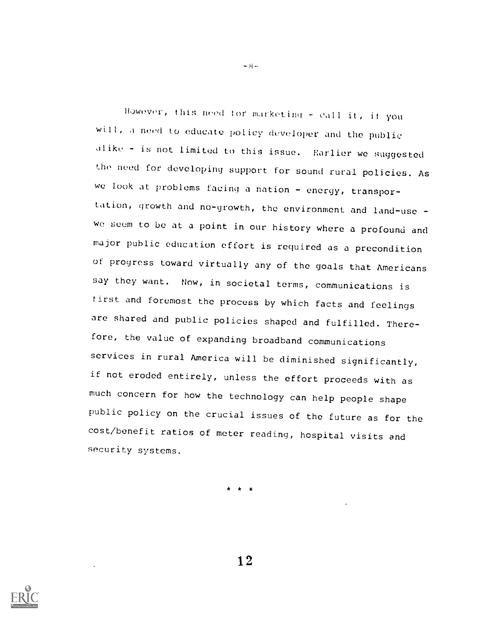However, this need for marketing - call it, if you will, a need to educate policy dcveloper and the public alike - is not limited to this issue. Earlier we suggested the need for developing support for sound rural policies. As we look at problems facing a nation - energy, transportation, growth and no-growth, the environment and land-use we seem to be at a point in our history where a profound and major public education effort is required as a precondition of progress toward virtually any of the goals that Americans say they want. Now, in societal terms, communications is first and foremost the process by which facts and feelings are shared and public policies shaped and fulfilled. Therefore, the value of expanding broadband communications services in rural America will be diminished significantly, if not eroded entirely, unless the effort proceeds with as much concern for how the technology can help people shape public policy on the crucial issues of the future as for the cost/benefit ratios of meter reading, hospital visits and security systems.

\* \* \*



 $-$  H $-$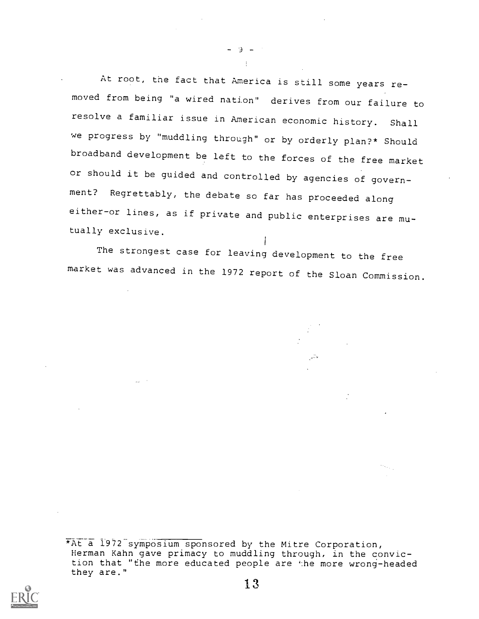At root, the fact that America is still some years removed from being "a wired nation" derives from our failure to resolve a familiar issue in American economic history. Shall we progress by "muddling through" or by orderly plan?\* Should broadband development be left to the forces of the free market or should it be guided and controlled by agencies of government? Regrettably, the debate so far has proceeded along either-or lines, as if private and public enterprises are mutually exclusive.

 $-9 \pm$ 

The strongest case for leaving development to the free market was advanced in the 1972 report of the Sloan Commission.



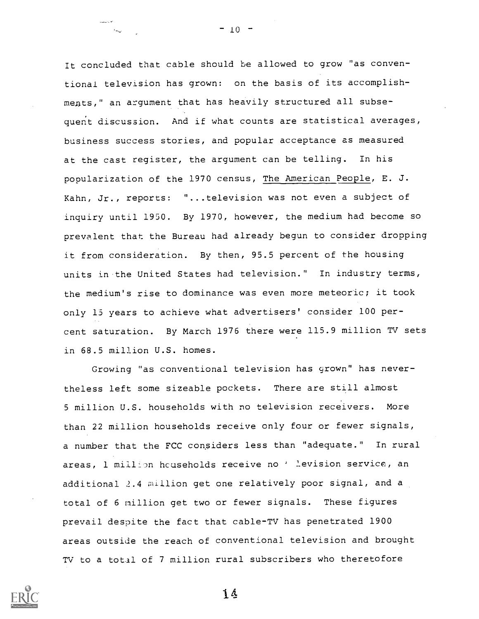It concluded that cable should be allowed to grow "as conventional television has grown: on the basis of its accomplishmeats," an argument that has heavily structured all subsequent discussion. And if what counts are statistical averages, business success stories, and popular acceptance as measured at the cast register, the argument can be telling. In his popularization of the 1970 census, The American People, E. J. Kahn, Jr., reports: "...television was not even a subject of inquiry until 1950. By 1970, however, the medium had become so prevalent that the Bureau had already begun to consider dropping it from consideration. By then, 95.5 percent of the housing units in-the United States had television." In industry terms, the medium's rise to dominance was even more meteoric; it took only 15 years to achieve what advertisers' consider 100 percent saturation. By March 1976 there were 115.9 million TV sets in 68.5 million U.S. homes.

Growing "as conventional television has grown" has nevertheless left some sizeable pockets. There are still almost 5 million U.S. households with no television receivers. More than 22 million households receive only four or fewer signals, a number that the FCC considers less than "adequate." In rural areas, 1 million households receive no ' levision service, an additional 2.4 million get one relatively poor signal, and a total of 6 million get two or fewer signals. These figures prevail despite the fact that cable-TV has penetrated 1900 areas outside the reach of conventional television and brought TV to a total of 7 million rural subscribers who theretofore



 $-10 -$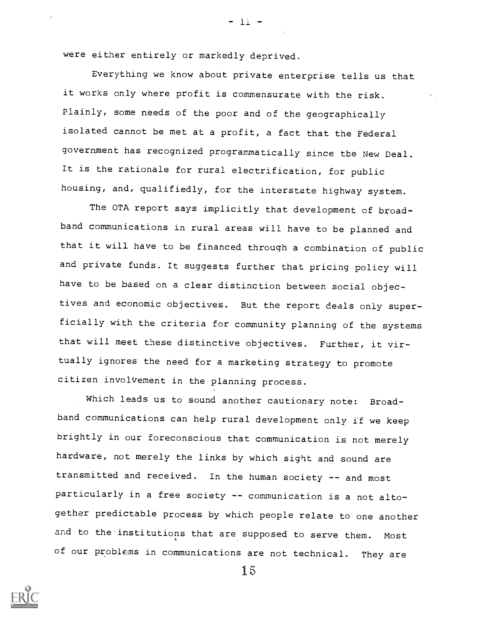were either entirely or markedly deprived.

Everything we know about private enterprise tells us that it works only where profit is commensurate with the risk. Plainly, some needs of the poor and of the geographically isolated cannot be met at a profit, a fact that the Federal government has recognized programmatically since the New peal. It is the rationale for rural electrification, for public housing, and, qualifiedly, for the interstate highway system.

 $-11 -$ 

The OTA report says implicitly that development of broadband communications in rural areas will have to be planned and that it will have to be financed through a combination of public and private funds. It suggests further that pricing policy will have to be based on a clear distinction between social objectives and economic objectives. But the report deals only superficially with the criteria for community planning of the systems that will meet these distinctive objectives. Further, it virtually ignores the need for a marketing strategy to promote citizen involVement in the planning process.

Which leads us to sound another cautionary note: Broadband communications can help rural development only if we keep brightly in our foreconscious that communication is not merely hardware, not merely the links by which sight and sound are transmitted and received. In the human society -- and most particularly in a free society -- communication is a not altogether predictable process by which people relate to one another and to the institutions that are supposed to serve them. Most of our problems in communications are not technical. They are

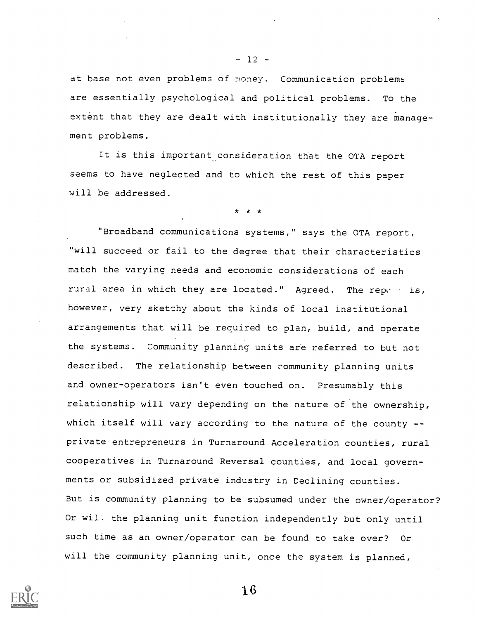at base not even problems of money. Communication problems are essentially psychological and political problems. To the extent that they are dealt with institutionally they are management problems.

It is this important consideration that the OTA report seems to have neglected and to which the rest of this paper will be addressed.

\* k \*

"Broadband communications systems," says the OTA report, "will succeed or fail to the degree that their characteristics match the varying needs and economic considerations of each rural area in which they are located." Agreed. The reperties, however, very sketchy about the kinds of local institutional arrangements that will be required to plan, build, and operate the systems. Community planning units are referred to but not described. The relationship between community planning units and owner-operators isn't even touched on. Presumably this relationship will vary depending on the nature of the ownership, which itself will vary according to the nature of the county -private entrepreneurs in Turnaround Acceleration counties, rural cooperatives in Turnaround Reversal counties, and local governments or subsidized private industry in Declining counties. But is community planning to be subsumed under the owner/operator? Or wil. the planning unit function independently but only until such time as an owner/operator can be found to take over? Or will the community planning unit, once the system is planned,



16

 $-12$   $-$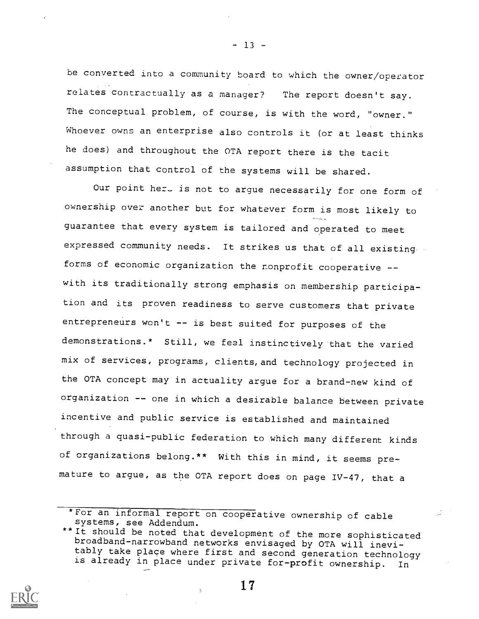be converted into a community board to which the owner/operator relates contractually as a manager? The report doesn't say. The conceptual problem, of course, is with the word, "owner." Whoever owns an enterprise also controls it (or at least thinks he does) and throughout the OTA report there is the tacit assumption that control of the systems will be shared.

Our point here is not to argue necessarily for one form of ownership over another but for whatever form is most likely to guarantee that every system is tailored and operated to meet expressed community needs. It strikes us that of all existing forms of economic organization the monprofit cooperative -with its traditionally strong emphasis on membership participation and its proven readiness to serve customers that private entrepreneurs won't -- is best suited for purposes of the demonstrations.\* Still, we feel instinctively that the varied mix of services, programs, clients,and technology projected in the OTA concept may in actuality argue for a brand-new kind of organization -- one in which a desirable balance between private incentive and public service is established and maintained through a quasi-public federation to which many different kinds of organizations belong.\*\* With this in mind, it seems premature to argue, as the OTA report does on page IV-47, that a

17



 $-13 -$ 

<sup>\*</sup>For an informal report on cooperative ownership of cable systems, see Addendum.

<sup>\*\*</sup> It should be noted that development of the more sophisticated broadband-narrowband networks envisaged by OTA will inevitably take place where first and second generation technology is already in place under private for-profit ownership. In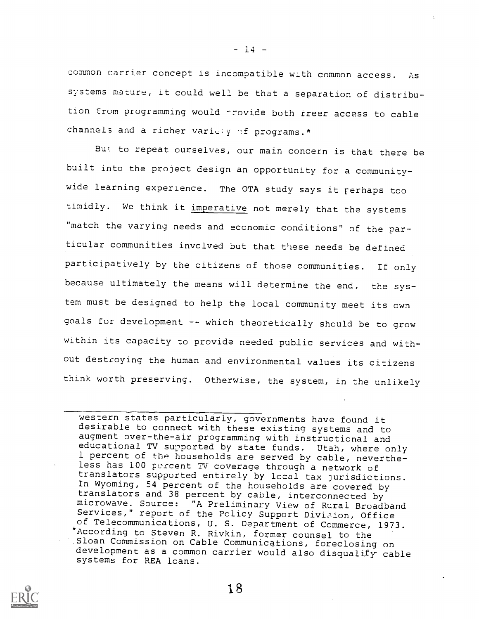common carrier concept is incompatible with common access. As systems mature, it could well be that a separation of distribution from programming would -rovide both rreer access to cable channels and a richer variely of programs.\*

Bur: to repeat ourselves, our main concern is that there be built into the project design an opportunity for a communitywide learning experience. The OTA study says it rerhaps too timidly. We think it imperative not merely that the systems "match the varying needs and economic conditions" of the particular communities involved but that these needs be defined participatively by the citizens of those communities. If only because ultimately the means will determine the end, the system must be designed to help the local community meet its own goals for development -- which theoretically should be to grow within its capacity to provide needed public services and without destroying the human and environmental values its citizens think worth preserving. Otherwise, the system, in the unlikely



 $- 14 -$ 

western states particularly, governments have found it desirable to connect with these existing systems and to augment over-the-air programming with instructional and educational TV supported by state funds. Utah, where only 1 percent of the households are served by cable, nevertheless has 100 percent TV coverage through a network of translators supported entirely by local tax jurisdictions. In Wyoming, 54 percent of the households are covered by translators and 38 percent by cable, interconnected by microwave. Source: "A Preliminary View of Rural Broadband Services," report of the Policy Support Division, Office of Telecommunications, U. S. Department of Commerce, 1973. \*According to Steven R. Rivkin, former counsel to the<br>Sloan Commission on Cable Communications, foreclosing on development as a common carrier would also disqualify cable systems for REA loans.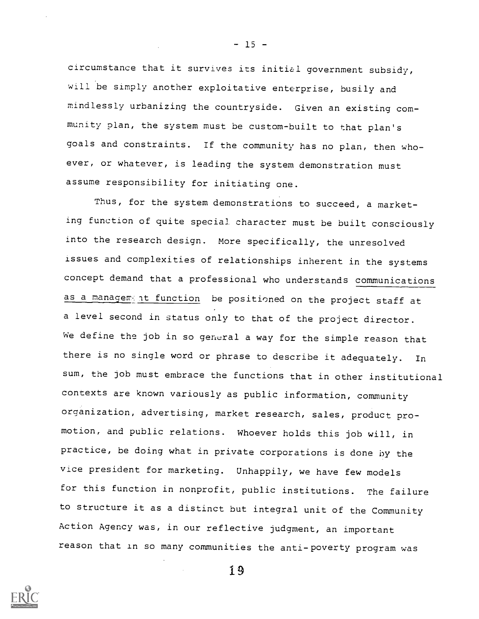circumstance that it survives its initial government subsidy, will be simply another exploitative enterprise, busily and mindlessly urbanizing the countryside. Given an existing community plan, the system must be custom-built to that plan's goals and constraints. If the community has no plan, then whoever, or whatever, is leading the system demonstration must assume responsibility for initiating one.

Thus, for the system demonstrations to succeed, a marketing function of quite special character must be built consciously into the research design. More specifically, the unresolved issues and complexities of relationships inherent in the systems concept demand that a professional who understands communications as a management function be positioned on the project staff at a level second in status only to that of the project director. We define the job in so general a way for the simple reason that there is no single word or phrase to describe it adequately. In sum, the job must embrace the functions that in other institutional contexts are known variously as public information, community organization, advertising, market research, sales, product promotion, and public relations. Whoever holds this job will, in practice, be doing what in private corporations is done by the vice president for marketing. Unhappily, we have few models for this function in nonprofit, public institutions. The failure to structure it as a distinct but integral unit of the Community Action Agency was, in our reflective judgment, an important reason that in so many communities the anti-poverty program was



 $-15 -$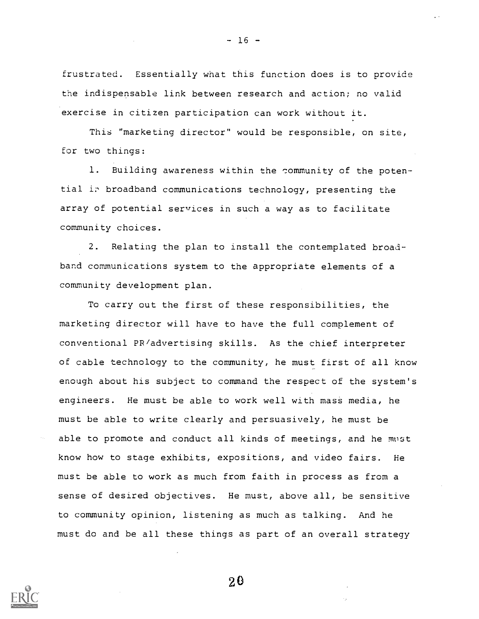frustrated. Essentially what this function does is to provide the indispensable link between research and action; no valid exercise in citizen participation can work without it.

 $-16 -$ 

This "marketing director" would be responsible, on site, for two things:

1. Building awareness within the community of the potential in broadband communications technology, presenting the array of potential services in such a way as to facilitate community choices.

2. Relating the plan to install the contemplated broadband communications system to the appropriate elements of a community development plan.

To carry out the first of these responsibilities, the marketing director will have to have the full complement of conventional PR/advertising skills. As the chief interpreter of cable technology to the community, he must first of all know enough about his subject to command the respect of the system's engineers. He must be able to work well with mass media, he must be able to write clearly and persuasively, he must be able to promote and conduct all kinds of meetings, and he must know how to stage exhibits, expositions, and video fairs. He must be able to work as much from faith in process as from a sense of desired objectives. He must, above all, be sensitive to community opinion, listening as much as talking. And he must do and be all these things as part of an overall strategy

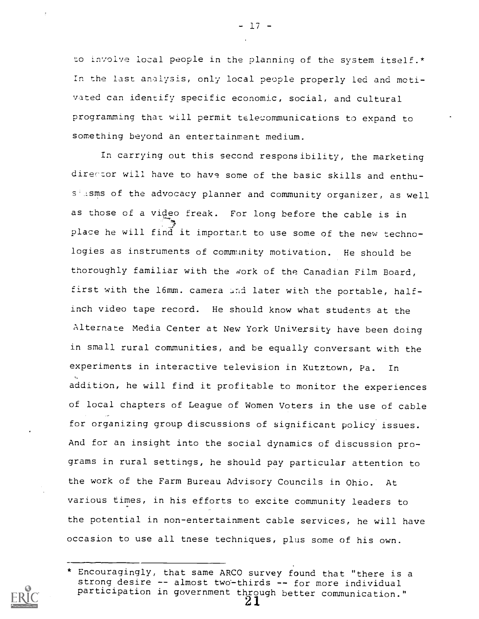to involve local people in the planning of the system itself.\* In the last analysis, only local people properly led and motivated can identify specific economic, social, and cultural programming that will permit teleommunications to expand to something beyond an entertainment medium.

- 17 -

In carrying out this seccnd responsibility, the marketing director will have to have some of the basic skills and enthus isms of the advocacy planner and community organizer, as well as those of a video freak. For long before the cable is in place he will find it important to use some of the new technologies as instruments of commanity motivation. He should be thoroughly familiar with the work of the Canadian Film Board, first with the 16mm. camera and later with the portable, halfinch video tape record. He should know what students at the Alternate Media Center at New York University have been doing in small rural communities, and be equally conversant with the experiments in interactive television in Kutztown, Pa. In addition, he will find it profitable to monitor the experiences of local chapters of League of Women Voters in the use of cable for organizing group discussions of significant policy issues. And for an insight into the social dynamics of discussion programs in rural settings, he should pay particular attention to the work of the Farm Bureau Advisory Councils in Ohio. At various times, in his efforts to excite community leaders to the potential in non-entertainment cable services, he will have occasion to use all tnese techniques, plus some of his own.

<sup>\*</sup> Encouragingly, that same ARCO survey found that "there is a<br>strong desire -- almost two-thirds -- for more individual participation in government through better communication."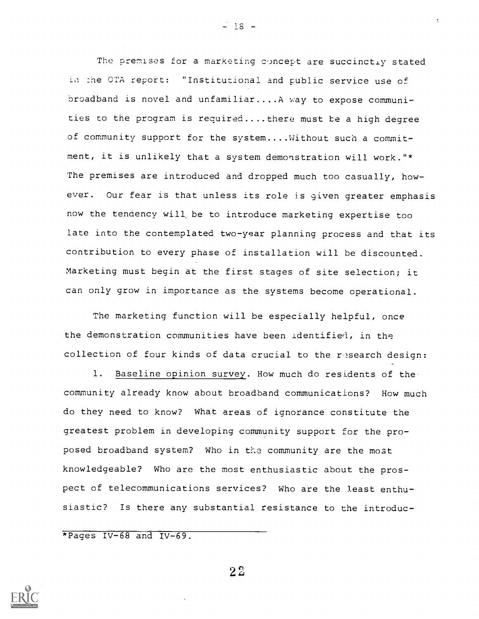The premises for a marketing concept are succinctly stated in the OTA report: "Institutional and public service use of broadband is novel and unfamiliar....A way to expose communities to the program is required....there must te a high degree of community support for the system....Without such a commitment, it is unlikely that a system demonstration will work."\* The premises are introduced and dropped much too casually, however. Our fear is that unless its role is given greater emphasis now the tendency will be to introduce marketing expertise too late into the contemplated two-year planning process and that its contribution to every phase of installation will be discounted. Marketing must begin at the first stages of site selection; it can only grow in importance as the systems become operational.

The marketing function will be especially helpful, once the demonstration communities have been identified, in the collection of four kinds of data crucial to the research design:

1. Baseline opinion survey. How much do residents of the community already know about broadband communications? How much do they need to know? What areas of ignorance constitute the greatest problem in developing community support for the proposed broadband system? Who in the community are the most knowledgeable? Who are the most enthusiastic about the prospect of telecommunications services? Who are the least enthusiastic? Is there any substantial resistance to the introduc-

\*Pages IV-68 and IV-69.



 $2\,2$ 

 $- 18 -$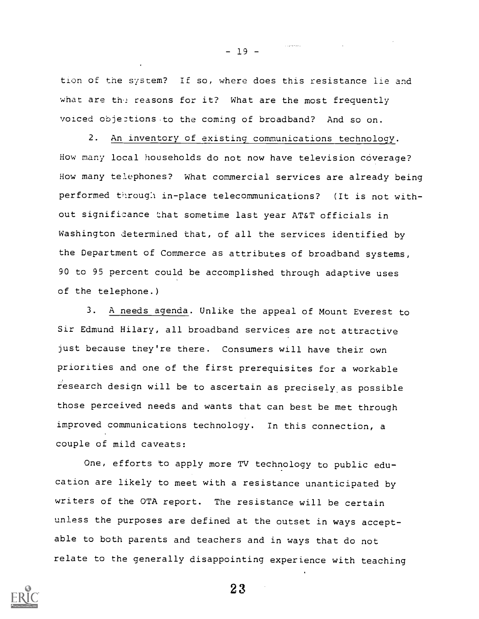tion of the system? If so, where does this resistance lie and what are the reasons for it? What are the most frequently voiced objections to the coming of broadband? And so on.

2. An inventory of existing communications technology. How many local households do not now have television coverage? How many telephones? What commercial services are already being performed tilroug:1 in-place telecommunications? (It is not without significance that sometime last year AT&T officials in Washington determined that, of all the services identified by the Department of Commerce as attributes of broadband systems, 90 to 95 percent could be accomplished through adaptive uses of the telephone.)

3. A needs agenda. Unlike the appeal of Mount Everest to Sir Edmund Hilary, all broadband services are not attractive just because tney're there. Consumers will have their own priorities and one of the first prerequisites for a workable research design will be to ascertain as precisely.as possible those perceived needs and wants that can best be met through improved communications technology. In this connection, a couple of mild caveats:

One, efforts to apply more TV technology to public education are likely to meet with a resistance unanticipated by writers of the OTA report. The resistance will be certain unless the purposes are defined at the outset in ways acceptable to both parents and teachers and in ways that do not relate to the generally disappointing experience with teaching



 $- 19 -$ 

 $\langle\ldots\rangle$  . The contract  $\bar{\mathcal{E}}$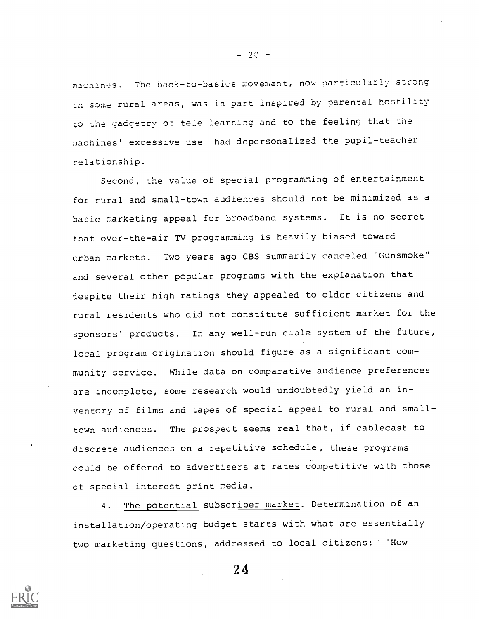machines. The back-to-basics movement, now particularly strong 1:1 some rural areas, was in part inspired by parental hostility to the gadgetry of tele-learning and to the feeling that the machines' excessive use had depersonalized the pupil-teacher relationship.

Second, the value of special programming of entertainment for rural and small-town audiences should not be minimized as a basic marketing appeal for broadband systems. It is no secret that over-the-air TV programming is heavily biased toward urban markets. Two years ago CBS summarily canceled "Gunsmoke" and several other popular programs with the explanation that despite their high ratings they appealed to older citizens and rural residents who did not constitute sufficient market for the sponsors' products. In any well-run caple system of the future, local program origination should figure as a significant community service. While data on comparative audience preferences are incomplete, some research would undoubtedly yield an inventory of films and tapes of special appeal to rural and smalltown audiences. The prospect seems real that, if cablecast to discrete audiences on a repetitive schedule, these programs could be offered to advertisers at rates competitive with those of special interest print media.

4. The potential subscriber market. Determination of an installation/operating budget starts with what are essentially two marketing questions, addressed to local citizens: "How



 $- 20 -$ 

 $2<sub>4</sub>$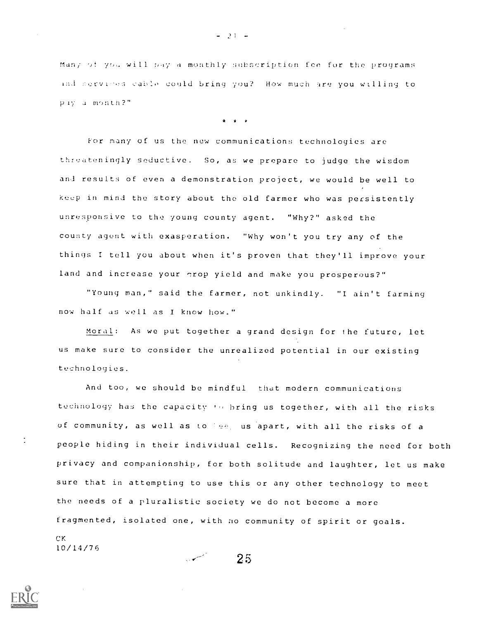Man; of you will pay a monthly subscription fee for the programs ind mervices cable could bring you? How much are you willing to piy a month?"

\* \* \*

For many of us the new communications technologies are threateningly seductive. So, as we prepare to judge the wisdom and results of even a demonstration project, we would be well to keep in mind the story about the old farmer who was persistently unresponsive to the young county agent. "Why?" asked the county agent with exasperation. "Why won't you try any of the things <sup>I</sup> tell you about when it's proven that they'll improve your land and increase your grop yield and make you prosperous?"

"Young man," said the farmer, not unkindly. "I ain't farming now half as well as <sup>I</sup> know how."

Moral: As we put together a grand design for the future, let us make sure to consider the unrealized potential in our existing technologies.

And too, we should be mindful that modern communications technology has the capacity to bring us together, with all the risks of community, as well as to bee, us apart, with all the risks of a people hiding in their individual cells. Recognizing the need for both privacy and companionship, for both solitude and laughter, let us make sure that in attempting to use this or any other technology to meet the needs of a pluralistic society we do not become a more fragmented, isolated one, with no community of spirit or goals. CK 10/14/76

2 5

 $-21 - -$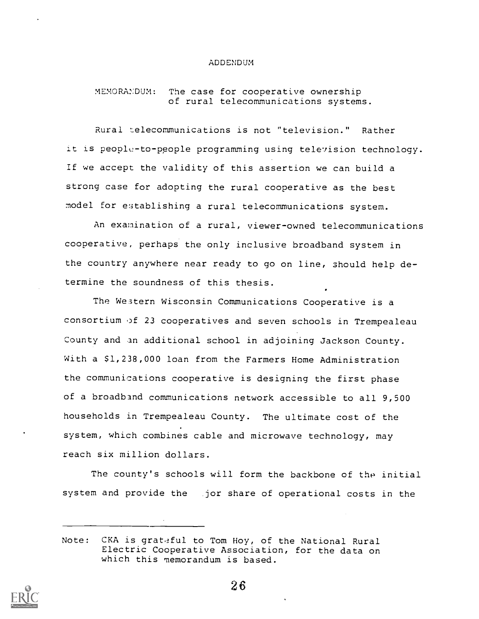#### ADDENDUM

MEMORANDUM: The case for cooperative ownership oE rural telecommunications systems.

Rural elecommunications is not "television." Rather it is people-to-people programming using television technology. If we accept the validity of this assertion we can build a strong case for adopting the rural cooperative as the best model for establishing a rural telecommunications system.

An examination of a rural, viewer-owned telecommunications cooperative, perhaps the only inclusive broadband system in the country anywhere near ready to go on line, should help determine the soundness of this thesis.

The Western Wisconsin Communications Cooperative is aconsortium of 23 cooperatives and seven schools in Trempealeau County and an additional school in adjoining Jackson County. With a \$1,238,000 loan from the Farmers Home Administration the communications cooperative is designing the first phase of a broadband communications network accessible to all 9,500 households in Trempealeau County. The ultimate cost of the system, which combines cable and microwave technology, may reach six million dollars.

The county's schools will form the backbone of the initial system and provide the jor share of operational costs in the

Note: CKA is grat-2ful to Tom Hoy, of the National Rural Electric Cooperative Association, for the data on which this memorandum is based.

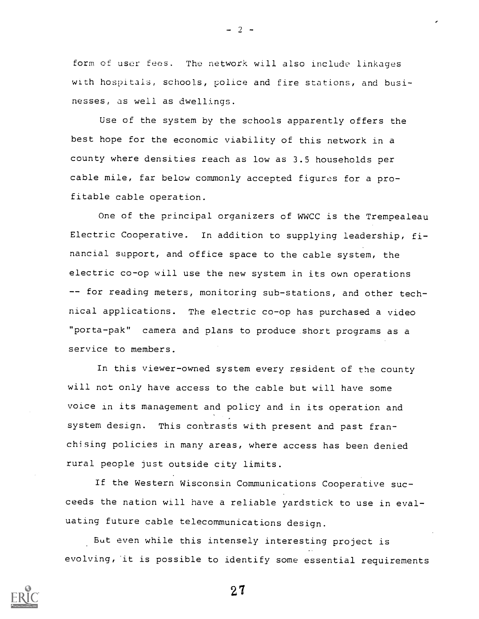form of user fees. The network will also include linkages with hospitals, schools, police and fire stations, and businesses, as well as dwellings.

Use of the system by the schools apparently offers the best hope for the economic viability of this network in a county where densities reach as low as 3.5 households per cable mile, far below commonly accepted figures for a profitable cable operation.

One of the principal organizers of WWCC is the Trempealeau Electric Cooperative. In addition to supplying leadership, financial support, and office space to the cable system, the electric co-op will use the new system in its own operations -- for reading meters, monitoring sub-stations, and other technical applications. The electric co-op has purchased a video "porta-pak" camera and plans to produce short programs as a service to members.

In this viewer-owned system every resident of the county will not only have access to the cable but will have some voice in its management and policy and in its operation and system design. This contrasts with present and past franchising policies in many areas, where access has been denied rural people just outside city limits.

If the Western Wisconsin Communications Cooperative succeeds the nation will have a reliable yardstick to use in evaluating future cable telecommunications design.

But even while this intensely interesting project is evolving, 'it is possible to identify some essential requirements



 $- 2 -$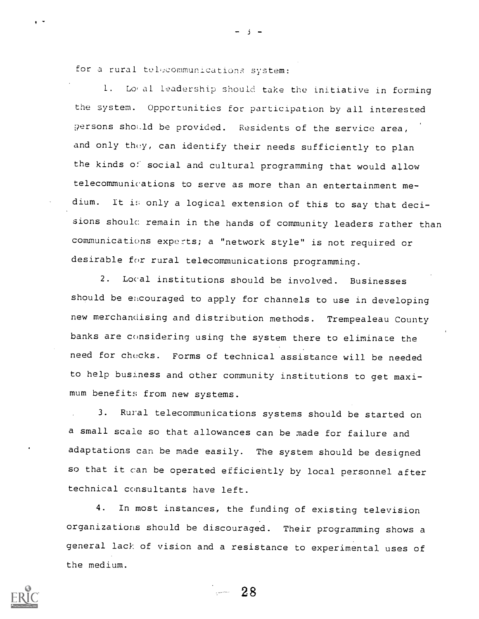for a rural telecommunications system:

L. Lo,a1 Leadership should take the initiative in forming the system. Opportunities for participation by all interested persons should be provided. Residents of the service area, and only they, can identify their needs sufficiently to plan the kinds of social and cultural programming that would allow telecommunications to serve as more than an entertainment medium. It is only a logical extension of this to say that decisions should remain in the hands of community leaders rather than communications experts; a "network style" is not required or desirable for rural telecommunications programming.

 $\rightarrow$   $-$ 

2. Local institutions should be involved. Businesses should be encouraged to apply for channels to use in developing new merchandising and distribution methods. Trempealeau County banks are considering using the system there to eliminate the need for checks. Forms of technical assistance will be needed to help business and other community institutions to get maximum benefits from new systems.

3. Rural telecommunications systems should be started on a small scale so that allowances can be made for failure and adaptations can be made easily. The system should be designed so that it can be operated efficiently by local personnel after technical consultants have left.

4. In most instances, the funding of existing television organizations should be discouraged. Their programming shows a general lack of vision and a resistance to experimental uses of the medium.



 $\sim 28$